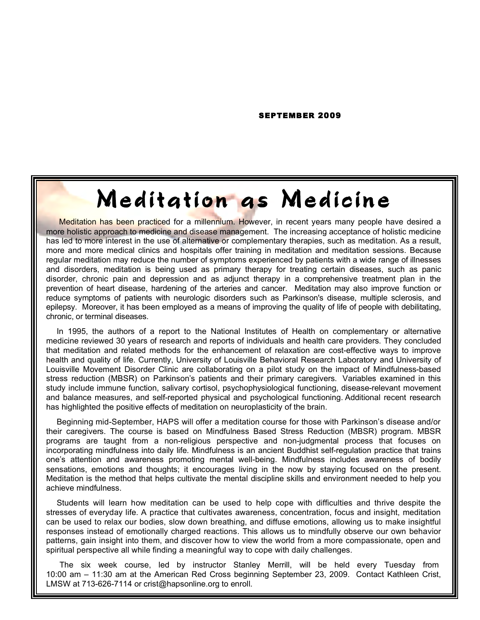SEPTEMBER 2009

## Meditation as Medicine

Meditation has been practiced for a millennium. However, in recent years many people have desired a more holistic approach to medicine and disease management. The increasing acceptance of holistic medicine has led to more interest in the use of alternative or complementary therapies, such as meditation. As a result, more and more medical clinics and hospitals offer training in meditation and meditation sessions. Because regular meditation may reduce the number of symptoms experienced by patients with a wide range of illnesses and disorders, meditation is being used as primary therapy for treating certain diseases, such as panic disorder, chronic pain and depression and as adjunct therapy in a comprehensive treatment plan in the prevention of heart disease, hardening of the arteries and cancer. Meditation may also improve function or reduce symptoms of patients with neurologic disorders such as Parkinson's disease, multiple sclerosis, and epilepsy. Moreover, it has been employed as a means of improving the quality of life of people with debilitating, chronic, or terminal diseases.

In 1995, the authors of a report to the National Institutes of Health on complementary or alternative medicine reviewed 30 years of research and reports of individuals and health care providers. They concluded that meditation and related methods for the enhancement of relaxation are cost-effective ways to improve health and quality of life. Currently, University of Louisville Behavioral Research Laboratory and University of Louisville Movement Disorder Clinic are collaborating on a pilot study on the impact of Mindfulness-based stress reduction (MBSR) on Parkinson's patients and their primary caregivers. Variables examined in this study include immune function, salivary cortisol, psychophysiological functioning, disease-relevant movement and balance measures, and self-reported physical and psychological functioning. Additional recent research has highlighted the positive effects of meditation on neuroplasticity of the brain.

Beginning mid-September, HAPS will offer a meditation course for those with Parkinson's disease and/or their caregivers. The course is based on Mindfulness Based Stress Reduction (MBSR) program. MBSR programs are taught from a non-religious perspective and non-judgmental process that focuses on incorporating mindfulness into daily life. Mindfulness is an ancient Buddhist self-regulation practice that trains one's attention and awareness promoting mental well-being. Mindfulness includes awareness of bodily sensations, emotions and thoughts; it encourages living in the now by staying focused on the present. Meditation is the method that helps cultivate the mental discipline skills and environment needed to help you achieve mindfulness.

Students will learn how meditation can be used to help cope with difficulties and thrive despite the stresses of everyday life. A practice that cultivates awareness, concentration, focus and insight, meditation can be used to relax our bodies, slow down breathing, and diffuse emotions, allowing us to make insightful responses instead of emotionally charged reactions. This allows us to mindfully observe our own behavior patterns, gain insight into them, and discover how to view the world from a more compassionate, open and spiritual perspective all while finding a meaningful way to cope with daily challenges.

 The six week course, led by instructor Stanley Merrill, will be held every Tuesday from 10:00 am – 11:30 am at the American Red Cross beginning September 23, 2009. Contact Kathleen Crist, LMSW at 713-626-7114 or crist@hapsonline.org to enroll.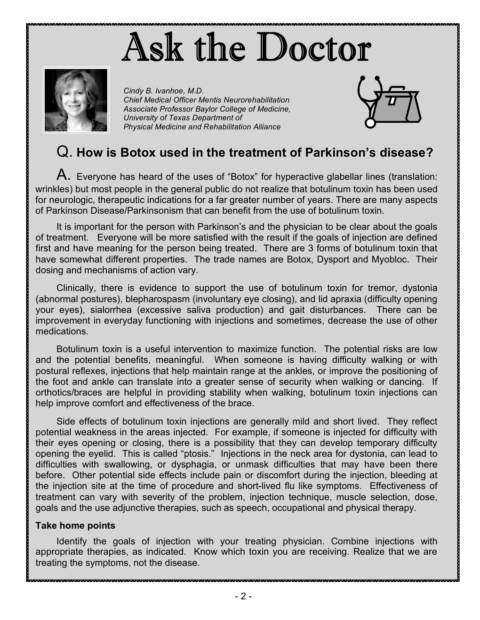# Ask the Doctor



*Cindy B. Ivanhoe, M.D. Chief Medical Officer Mentis Neurorehabilitation Associate Professor Baylor College of Medicine, University of Texas Department of Physical Medicine and Rehabilitation Alliance*



## Q. **How is Botox used in the treatment of Parkinson's disease?**

A. Everyone has heard of the uses of "Botox" for hyperactive glabellar lines (translation: wrinkles) but most people in the general public do not realize that botulinum toxin has been used for neurologic, therapeutic indications for a far greater number of years. There are many aspects of Parkinson Disease/Parkinsonism that can benefit from the use of botulinum toxin.

It is important for the person with Parkinson's and the physician to be clear about the goals of treatment. Everyone will be more satisfied with the result if the goals of injection are defined first and have meaning for the person being treated. There are 3 forms of botulinum toxin that have somewhat different properties. The trade names are Botox, Dysport and Myobloc. Their dosing and mechanisms of action vary.

Clinically, there is evidence to support the use of botulinum toxin for tremor, dystonia (abnormal postures), blepharospasm (involuntary eye closing), and lid apraxia (difficulty opening your eyes), sialorrhea (excessive saliva production) and gait disturbances. There can be improvement in everyday functioning with injections and sometimes, decrease the use of other medications.

Botulinum toxin is a useful intervention to maximize function. The potential risks are low and the potential benefits, meaningful. When someone is having difficulty walking or with postural reflexes, injections that help maintain range at the ankles, or improve the positioning of the foot and ankle can translate into a greater sense of security when walking or dancing. If orthotics/braces are helpful in providing stability when walking, botulinum toxin injections can help improve comfort and effectiveness of the brace.

Side effects of botulinum toxin injections are generally mild and short lived. They reflect potential weakness in the areas injected. For example, if someone is injected for difficulty with their eyes opening or closing, there is a possibility that they can develop temporary difficulty opening the eyelid. This is called "ptosis." Injections in the neck area for dystonia, can lead to difficulties with swallowing, or dysphagia, or unmask difficulties that may have been there before. Other potential side effects include pain or discomfort during the injection, bleeding at the injection site at the time of procedure and short-lived flu like symptoms. Effectiveness of treatment can vary with severity of the problem, injection technique, muscle selection, dose, goals and the use adjunctive therapies, such as speech, occupational and physical therapy.

### **Take home points**

Identify the goals of injection with your treating physician. Combine injections with appropriate therapies, as indicated. Know which toxin you are receiving. Realize that we are treating the symptoms, not the disease.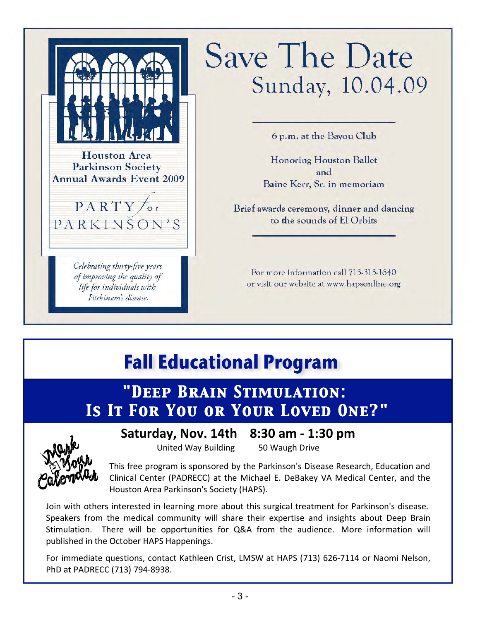**Houston Area Parkinson Society Annual Awards Event 2009**  $PARTY$  or PARKINSON'S

> Celebrating thirty-five years of improving the quality of life for individuals with Parkinson's disease.

# **Save The Date** Sunday, 10.04.09

6 p.m. at the Bayou Club

**Honoring Houston Ballet** and Baine Kerr, Sr. in memoriam

Brief awards ceremony, dinner and dancing to the sounds of El Orbits

For more information call 713-313-1640 or visit our website at www.hapsonline.org

## **Fall Educational Program**

## *Is It For You or Your Loved One?" "Deep Brain Stimulation: Is It For You or Your Loved One?"*



## **Saturday,
Nov.
14th

8:30
am
‐
1:30
pm**

United
Way
Building

50
Waugh
Drive

This
free
program
is
sponsored
by
the
Parkinson's
Disease
Research,
Education
and Clinical Center (PADRECC) at the Michael E. DeBakey VA Medical Center, and the Houston
Area
Parkinson's
Society
(HAPS).

Join with others interested in learning more about this surgical treatment for Parkinson's disease. Speakers from the medical community will share their expertise and insights about Deep Brain Stimulation. There will be opportunities for Q&A from the audience. More information will published
in
the
October
HAPS
Happenings.

For immediate questions, contact Kathleen Crist, LMSW at HAPS (713) 626-7114 or Naomi Nelson, PhD
at
PADRECC
(713)
794‐8938.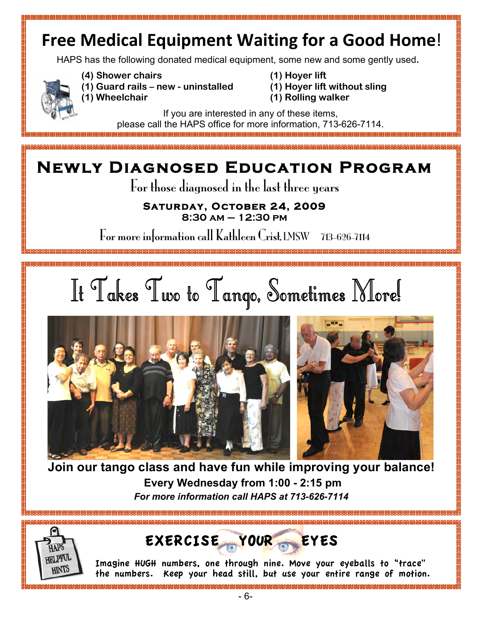## **Free Medical Equipment Waiting for a Good Home!**

HAPS has the following donated medical equipment, some new and some gently used.



**(4) Shower chairs**

888888888888888888888888

- **(1) Guard rails new uninstalled (1) Wheelchair**
- **(1) Hoyer lift (1) Hoyer lift without sling**
- **(1) Rolling walker**

If you are interested in any of these items, please call the HAPS office for more information, 713-626-7114.

## **Newly Diagnosed Education Program**

For those diagnosed in the last three years

## **Saturday, October 24, 2009**

**8:30 am – 12:30 pm**

For more information call Kathleen Crist, LMSW 713-626-7114







**Join our tango class and have fun while improving your balance! Every Wednesday from 1:00 - 2:15 pm** *For more information call HAPS at 713-626-7114*



EXERCISE YOUR EYES

Imagine HUGH numbers, one through nine. Move your eyeballs to "trace" the numbers. Keep your head still, but use your entire range of motion.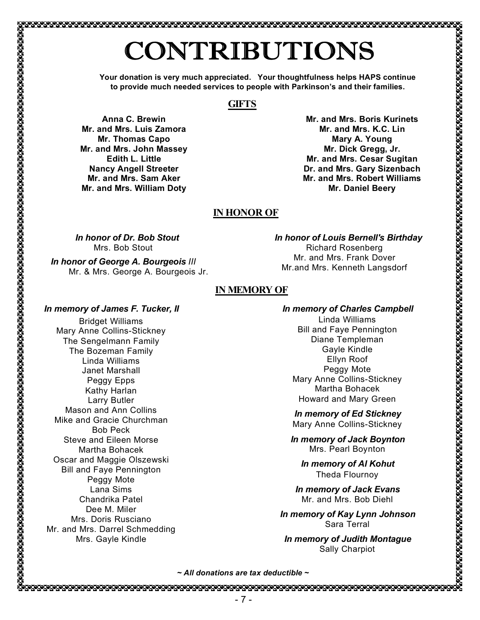# CONTRIBUTIONS

**Your donation is very much appreciated. Your thoughtfulness helps HAPS continue to provide much needed services to people with Parkinson's and their families.**

### **GIFTS**

**Anna C. Brewin Mr. and Mrs. Luis Zamora Mr. Thomas Capo Mr. and Mrs. John Massey Edith L. Little Nancy Angell Streeter Mr. and Mrs. Sam Aker Mr. and Mrs. William Doty**

**Mr. and Mrs. Boris Kurinets Mr. and Mrs. K.C. Lin Mary A. Young Mr. Dick Gregg, Jr. Mr. and Mrs. Cesar Sugitan Dr. and Mrs. Gary Sizenbach Mr. and Mrs. Robert Williams Mr. Daniel Beery**

### **IN HONOR OF**

*In honor of Dr. Bob Stout* Mrs. Bob Stout

*In honor of George A. Bourgeois III* Mr. & Mrs. George A. Bourgeois Jr. *In honor of Louis Bernell's Birthday* Richard Rosenberg Mr. and Mrs. Frank Dover Mr.and Mrs. Kenneth Langsdorf

## **IN MEMORY OF**

#### *In memory of James F. Tucker, II*

Bridget Williams Mary Anne Collins-Stickney The Sengelmann Family The Bozeman Family Linda Williams Janet Marshall Peggy Epps Kathy Harlan Larry Butler Mason and Ann Collins Mike and Gracie Churchman Bob Peck Steve and Eileen Morse Martha Bohacek Oscar and Maggie Olszewski Bill and Faye Pennington Peggy Mote Lana Sims Chandrika Patel Dee M. Miler Mrs. Doris Rusciano Mr. and Mrs. Darrel Schmedding Mrs. Gayle Kindle

### *In memory of Charles Campbell*

Linda Williams Bill and Faye Pennington Diane Templeman Gayle Kindle Ellyn Roof Peggy Mote Mary Anne Collins-Stickney Martha Bohacek Howard and Mary Green

*In memory of Ed Stickney* Mary Anne Collins-Stickney

*In memory of Jack Boynton* Mrs. Pearl Boynton

*In memory of Al Kohut* Theda Flournoy

*In memory of Jack Evans* Mr. and Mrs. Bob Diehl

*In memory of Kay Lynn Johnson* Sara Terral

*In memory of Judith Montague* Sally Charpiot

*~ All donations are tax deductible ~*